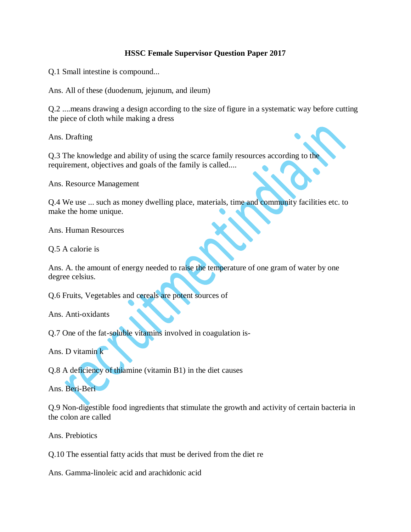## **HSSC Female Supervisor Question Paper 2017**

Q.1 Small intestine is compound...

Ans. All of these (duodenum, jejunum, and ileum)

Q.2 ....means drawing a design according to the size of figure in a systematic way before cutting the piece of cloth while making a dress

Ans. Drafting

Q.3 The knowledge and ability of using the scarce family resources according to the requirement, objectives and goals of the family is called....

Ans. Resource Management

Q.4 We use ... such as money dwelling place, materials, time and community facilities etc. to make the home unique.

Ans. Human Resources

Q.5 A calorie is

Ans. A. the amount of energy needed to raise the temperature of one gram of water by one degree celsius.

Q.6 Fruits, Vegetables and cereals are potent sources of

Ans. Anti-oxidants

Q.7 One of the fat-soluble vitamins involved in coagulation is-

Ans. D vitamin k

Q.8 A deficiency of thiamine (vitamin B1) in the diet causes

Ans. Beri-Beri

Q.9 Non-digestible food ingredients that stimulate the growth and activity of certain bacteria in the colon are called

Ans. Prebiotics

Q.10 The essential fatty acids that must be derived from the diet re

Ans. Gamma-linoleic acid and arachidonic acid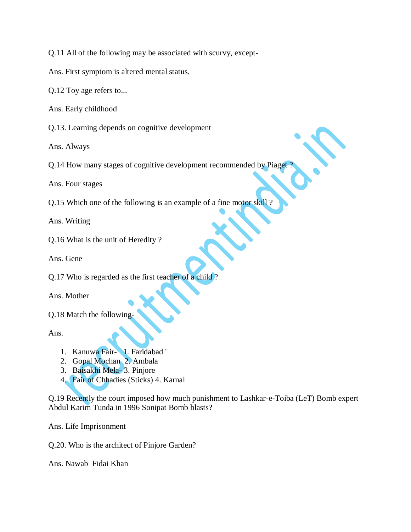Q.11 All of the following may be associated with scurvy, except-

Ans. First symptom is altered mental status.

Q.12 Toy age refers to...

Ans. Early childhood

Q.13. Learning depends on cognitive development

Ans. Always

Q.14 How many stages of cognitive development recommended by Piaget

Ans. Four stages

Q.15 Which one of the following is an example of a fine motor skill ?

Ans. Writing

Q.16 What is the unit of Heredity ?

Ans. Gene

Q.17 Who is regarded as the first teacher of a child ?

Ans. Mother

Q.18 Match the following-

Ans.

- 1. Kanuwa Fair- 1. Faridabad '
- 2. Gopal Mochan 2. Ambala
- 3. Baisakhi Mela- 3. Pinjore
- 4. Fair of Chhadies (Sticks) 4. Karnal

Q.19 Recently the court imposed how much punishment to Lashkar-e-Toiba (LeT) Bomb expert Abdul Karim Tunda in 1996 Sonipat Bomb blasts?

Ans. Life Imprisonment

Q.20. Who is the architect of Pinjore Garden?

Ans. Nawab Fidai Khan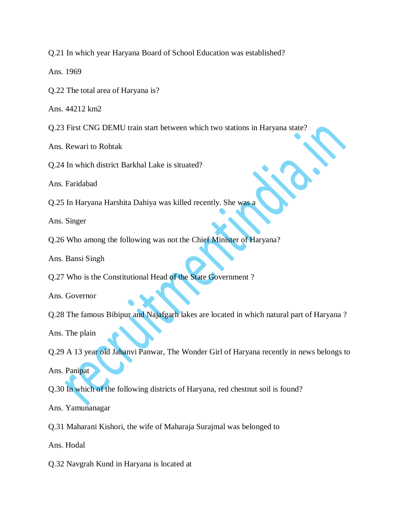Q.21 In which year Haryana Board of School Education was established?

Ans. 1969

Q.22 The total area of Haryana is?

Ans. 44212 km2

Q.23 First CNG DEMU train start between which two stations in Haryana state?

Ans. Rewari to Rohtak

Q.24 In which district Barkhal Lake is situated?

Ans. Faridabad

Q.25 In Haryana Harshita Dahiya was killed recently. She was a

Ans. Singer

Q.26 Who among the following was not the Chief Minister of Haryana?

Ans. Bansi Singh

Q.27 Who is the Constitutional Head of the State Government ?

Ans. Governor

Q.28 The famous Bibipur and Najafgarh lakes are located in which natural part of Haryana ?

Ans. The plain

Q.29 A 13 year old Jahanvi Panwar, The Wonder Girl of Haryana recently in news belongs to Ans. Panipat

Q.30 In which of the following districts of Haryana, red chestnut soil is found?

Ans. Yamunanagar

Q.31 Maharani Kishori, the wife of Maharaja Surajmal was belonged to

Ans. Hodal

Q.32 Navgrah Kund in Haryana is located at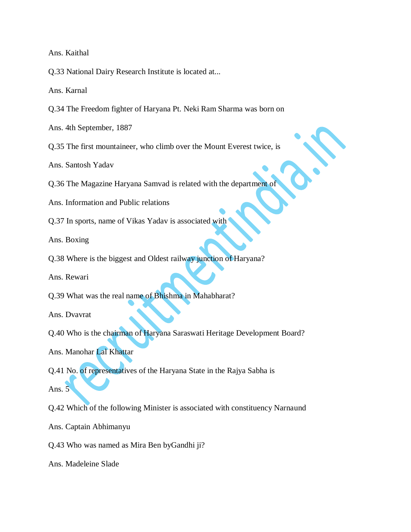Ans. Kaithal

Q.33 National Dairy Research Institute is located at...

Ans. Karnal

Q.34 The Freedom fighter of Haryana Pt. Neki Ram Sharma was born on

Ans. 4th September, 1887

Q.35 The first mountaineer, who climb over the Mount Everest twice, is

Ans. Santosh Yadav

Q.36 The Magazine Haryana Samvad is related with the department of

Ans. Information and Public relations

Q.37 In sports, name of Vikas Yadav is associated with

Ans. Boxing

Q.38 Where is the biggest and Oldest railway junction of Haryana?

Ans. Rewari

Q.39 What was the real name of Bhishma in Mahabharat?

Ans. Dvavrat

Q.40 Who is the chairman of Haryana Saraswati Heritage Development Board?

Ans. Manohar Lal Khattar

Q.41 No. of representatives of the Haryana State in the Rajya Sabha is

Ans. 5

Q.42 Which of the following Minister is associated with constituency Narnaund

Ans. Captain Abhimanyu

Q.43 Who was named as Mira Ben byGandhi ji?

Ans. Madeleine Slade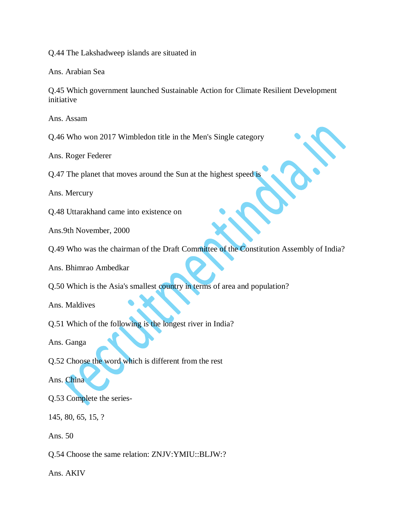Q.44 The Lakshadweep islands are situated in

Ans. Arabian Sea

Q.45 Which government launched Sustainable Action for Climate Resilient Development initiative

Ans. Assam

Q.46 Who won 2017 Wimbledon title in the Men's Single category

Ans. Roger Federer

Q.47 The planet that moves around the Sun at the highest speed is

Ans. Mercury

Q.48 Uttarakhand came into existence on

Ans.9th November, 2000

Q.49 Who was the chairman of the Draft Committee of the Constitution Assembly of India?

Ans. Bhimrao Ambedkar

Q.50 Which is the Asia's smallest country in terms of area and population?

Ans. Maldives

Q.51 Which of the following is the longest river in India?

Ans. Ganga

Q.52 Choose the word which is different from the rest

Ans. China

Q.53 Complete the series-

145, 80, 65, 15, ?

Ans. 50

Q.54 Choose the same relation: ZNJV:YMIU::BLJW:?

Ans. AKIV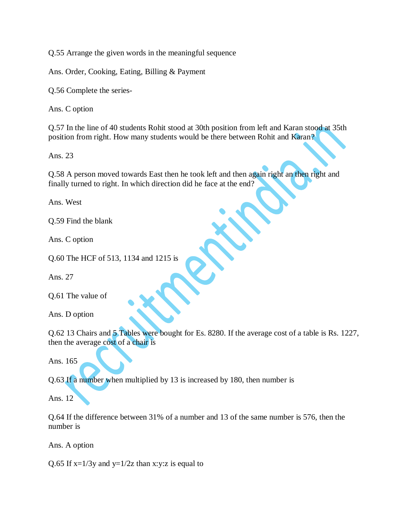Q.55 Arrange the given words in the meaningful sequence

Ans. Order, Cooking, Eating, Billing & Payment

Q.56 Complete the series-

Ans. C option

Q.57 In the line of 40 students Rohit stood at 30th position from left and Karan stood at 35th position from right. How many students would be there between Rohit and Karan?

Ans. 23

Q.58 A person moved towards East then he took left and then again right an then right and finally turned to right. In which direction did he face at the end?

Ans. West

Q.59 Find the blank

Ans. C option

Q.60 The HCF of 513, 1134 and 1215 is

Ans. 27

Q.61 The value of

Ans. D option

Q.62 13 Chairs and 5 Tables were bought for Es. 8280. If the average cost of a table is Rs. 1227, then the average cost of a chair is

Ans. 165

Q.63 If a number when multiplied by 13 is increased by 180, then number is

Ans. 12

Q.64 If the difference between 31% of a number and 13 of the same number is 576, then the number is

Ans. A option

Q.65 If  $x=1/3y$  and  $y=1/2z$  than x:y:z is equal to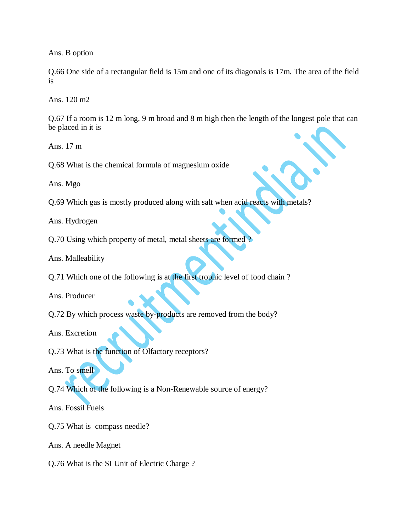Ans. B option

Q.66 One side of a rectangular field is 15m and one of its diagonals is 17m. The area of the field is

Ans. 120 m2

Q.67 If a room is 12 m long, 9 m broad and 8 m high then the length of the longest pole that can be placed in it is

Ans. 17 m

Q.68 What is the chemical formula of magnesium oxide

Ans. Mgo

Q.69 Which gas is mostly produced along with salt when acid reacts with metals?

Ans. Hydrogen

Q.70 Using which property of metal, metal sheets are formed ?

Ans. Malleability

Q.71 Which one of the following is at the first trophic level of food chain ?

Ans. Producer

Q.72 By which process waste by-products are removed from the body?

Ans. Excretion

Q.73 What is the function of Olfactory receptors?

Ans. To smell

Q.74 Which of the following is a Non-Renewable source of energy?

Ans. Fossil Fuels

Q.75 What is compass needle?

Ans. A needle Magnet

Q.76 What is the SI Unit of Electric Charge ?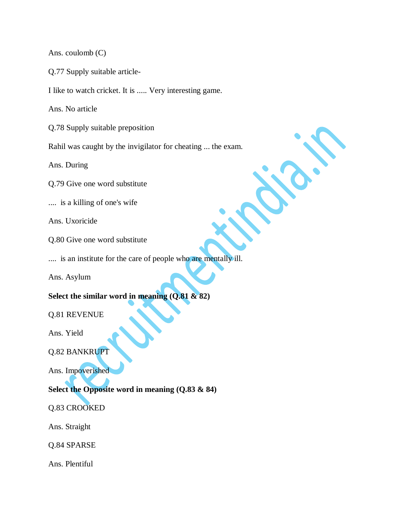Ans. coulomb (C)

Q.77 Supply suitable article-

I like to watch cricket. It is ..... Very interesting game.

Ans. No article

Q.78 Supply suitable preposition

Rahil was caught by the invigilator for cheating ... the exam.

Ans. During

Q.79 Give one word substitute

.... is a killing of one's wife

Ans. Uxoricide

Q.80 Give one word substitute

.... is an institute for the care of people who are mentally ill.

Ans. Asylum

## **Select the similar word in meaning (Q.81 & 82)**

## Q.81 REVENUE

Ans. Yield

Q.82 BANKRUPT

Ans. Impoverished

## **Select the Opposite word in meaning (Q.83 & 84)**

Q.83 CROOKED

Ans. Straight

Q.84 SPARSE

Ans. Plentiful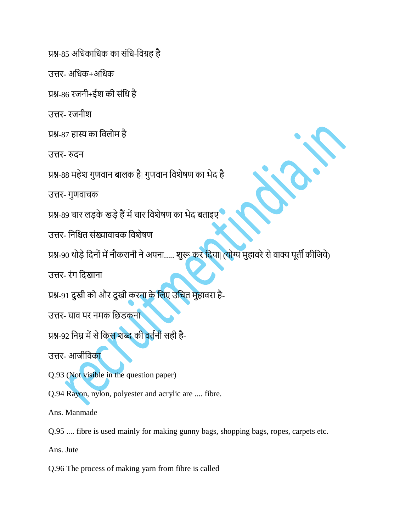प्रश्न-85 अधिकाधिक का संधि-विग्रह है

उत्तर- अधिक $+$ अधिक

प्रश्न-86 रजनी+ईश की संधध है

उत्तर- रजनीश

प्रश्न-87 हास्य का धिलोम है

उत्तर- रुदन

प्रश्न-88 महेश गुणवान बालक है| गुणवान विशेषण का भेद है

उत्तर- गुणवाचक

प्रश्न-89 चार लड़के खड़ेहैंमेंचार धिशेषण का भेद बताइए

उत्तर- निश्चित संख्यावाचक विशेषण

प्रश्न-90 थोड़े दिनों में नौकरानी ने अपना..... शुरू कर दिया| (योग्य मुहावरे से वाक्य पूर्ती कीजिये)

उत्तर- रंग धदखाना

प्रश्न-91 दुखी को और दुखी करना के लिए उचित मुहावरा है-

उत्तर- घाव पर नमक छिडकन<mark>ा</mark>

प्रश्न-92 निम्न में से किस शब्द की वर्तनी सही है-

उत्तर- आजीधिका

Q.93 (Not visible in the question paper)

Q.94 Rayon, nylon, polyester and acrylic are .... fibre.

Ans. Manmade

Q.95 .... fibre is used mainly for making gunny bags, shopping bags, ropes, carpets etc.

Ans. Jute

Q.96 The process of making yarn from fibre is called